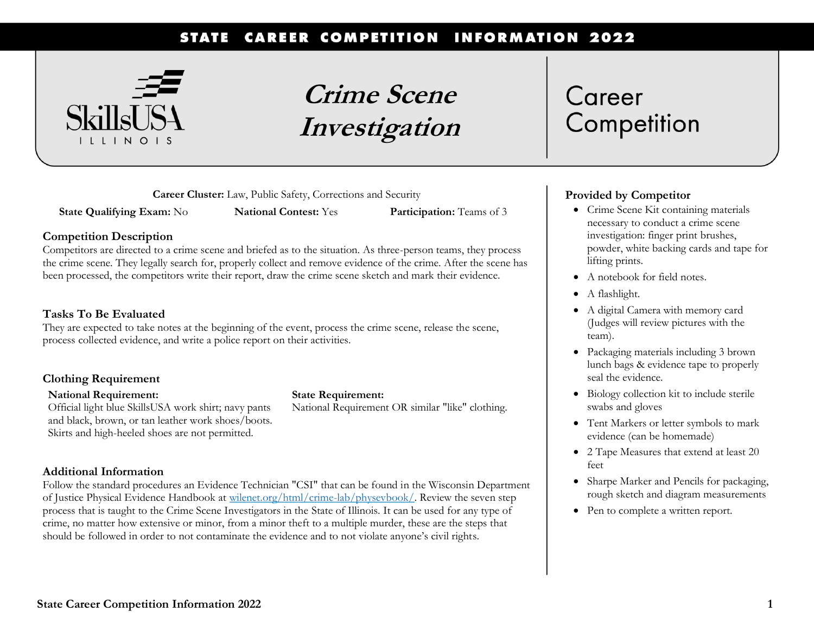#### STATE CAREER COMPETITION **INFORMATION 2022**



**Crime Scene Investigation**

**Career Cluster:** Law, Public Safety, Corrections and Security

**State Qualifying Exam:** No **National Contest:** Yes **Participation:** Teams of 3

#### **Competition Description**

Competitors are directed to a crime scene and briefed as to the situation. As three-person teams, they process the crime scene. They legally search for, properly collect and remove evidence of the crime. After the scene has been processed, the competitors write their report, draw the crime scene sketch and mark their evidence.

#### **Tasks To Be Evaluated**

They are expected to take notes at the beginning of the event, process the crime scene, release the scene, process collected evidence, and write a police report on their activities.

#### **Clothing Requirement**

#### **National Requirement:**

Official light blue SkillsUSA work shirt; navy pants and black, brown, or tan leather work shoes/boots. Skirts and high-heeled shoes are not permitted.

#### **Additional Information**

Follow the standard procedures an Evidence Technician "CSI" that can be found in the Wisconsin Department of Justice Physical Evidence Handbook at [wilenet.org/html/crime-lab/physevbook/.](https://wilenet.org/html/crime-lab/physevbook/) Review the seven step process that is taught to the Crime Scene Investigators in the State of Illinois. It can be used for any type of crime, no matter how extensive or minor, from a minor theft to a multiple murder, these are the steps that should be followed in order to not contaminate the evidence and to not violate anyone's civil rights.

**State Requirement:**

National Requirement OR similar "like" clothing.

# Career Competition

### **Provided by Competitor**

- Crime Scene Kit containing materials necessary to conduct a crime scene investigation: finger print brushes, powder, white backing cards and tape for lifting prints.
- A notebook for field notes.
- A flashlight.
- A digital Camera with memory card (Judges will review pictures with the team).
- Packaging materials including 3 brown lunch bags & evidence tape to properly seal the evidence.
- Biology collection kit to include sterile swabs and gloves
- Tent Markers or letter symbols to mark evidence (can be homemade)
- 2 Tape Measures that extend at least 20 feet
- Sharpe Marker and Pencils for packaging, rough sketch and diagram measurements
- Pen to complete a written report.